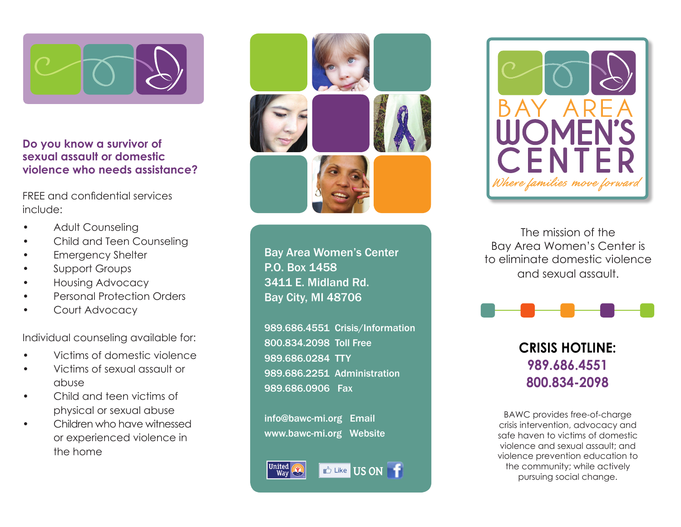

## **Do you know a survivor of sexual assault or domestic violence who needs assistance?**

FREE and confidential services include:

- Adult Counseling
- Child and Teen Counseling
- **Emergency Shelter**
- Support Groups
- Housing Advocacy
- Personal Protection Orders
- Court Advocacy

Individual counseling available for:

- Victims of domestic violence
- Victims of sexual assault or abuse
- Child and teen victims of physical or sexual abuse
- Children who have witnessed or experienced violence in the home



Bay Area Women's Center P.O. Box 1458 3411 E. Midland Rd. Bay City, MI 48706

989.686.4551 Crisis/Information 800.834.2098 Toll Free 989.686.0284 TTY 989.686.2251 Administration 989.686.0906 Fax

info@bawc-mi.org Email www.bawc-mi.org Website



# **Like** US ON



The mission of the Bay Area Women's Center is to eliminate domestic violence and sexual assault.



# **CRISIS HOTLINE: 989.686.4551 800.834-2098**

BAWC provides free-of-charge crisis intervention, advocacy and safe haven to victims of domestic violence and sexual assault; and violence prevention education to the community; while actively pursuing social change.